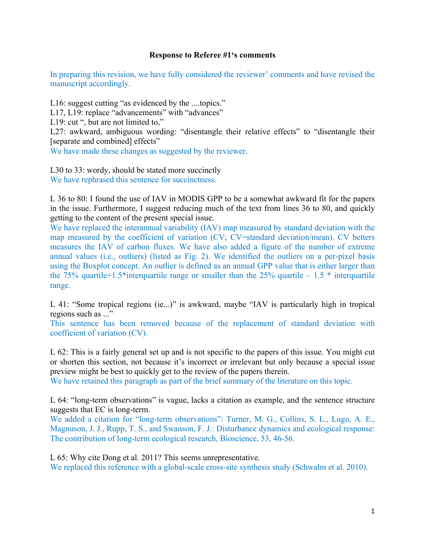## **Response to Referee #1's comments**

In preparing this revision, we have fully considered the reviewer' comments and have revised the manuscript accordingly.

L16: suggest cutting "as evidenced by the ....topics."

L17, L19: replace "advancements" with "advances"

L19: cut ", but are not limited to,"

L27: awkward, ambiguous wording: "disentangle their relative effects" to "disentangle their [separate and combined] effects"

We have made these changes as suggested by the reviewer.

L30 to 33: wordy, should be stated more succinctly We have rephrased this sentence for succinctness.

L 36 to 80: I found the use of IAV in MODIS GPP to be a somewhat awkward fit for the papers in the issue. Furthermore, I suggest reducing much of the text from lines 36 to 80, and quickly getting to the content of the present special issue.

We have replaced the interannual variability (IAV) map measured by standard deviation with the map measured by the coefficient of variation (CV; CV=standard deviation/mean). CV betters measures the IAV of carbon fluxes. We have also added a figure of the number of extreme annual values (i.e., outliers) (listed as Fig. 2). We identified the outliers on a per-pixel basis using the Boxplot concept. An outlier is defined as an annual GPP value that is either larger than the 75% quartile+1.5\*interguartile range or smaller than the 25% quartile – 1.5  $*$  interguartile range.

L 41: "Some tropical regions (ie...)" is awkward, maybe "IAV is particularly high in tropical regions such as ..."

This sentence has been removed because of the replacement of standard deviation with coefficient of variation (CV).

L 62: This is a fairly general set up and is not specific to the papers of this issue. You might cut or shorten this section, not because it's incorrect or irrelevant but only because a special issue preview might be best to quickly get to the review of the papers therein.

We have retained this paragraph as part of the brief summary of the literature on this topic.

L 64: "long-term observations" is vague, lacks a citation as example, and the sentence structure suggests that EC is long-term.

We added a citation for "long-term observations": Turner, M. G., Collins, S. L., Lugo, A. E., Magnuson, J. J., Rupp, T. S., and Swanson, F. J.: Disturbance dynamics and ecological response: The contribution of long-term ecological research, Bioscience, 53, 46-56.

L 65: Why cite Dong et al. 2011? This seems unrepresentative. We replaced this reference with a global-scale cross-site synthesis study (Schwalm et al. 2010).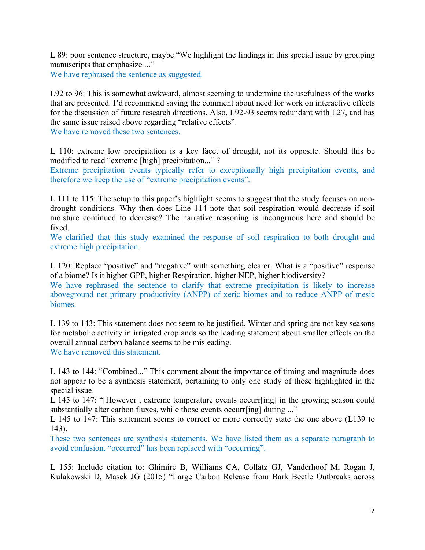L 89: poor sentence structure, maybe "We highlight the findings in this special issue by grouping manuscripts that emphasize ..."

We have rephrased the sentence as suggested.

L92 to 96: This is somewhat awkward, almost seeming to undermine the usefulness of the works that are presented. I'd recommend saving the comment about need for work on interactive effects for the discussion of future research directions. Also, L92-93 seems redundant with L27, and has the same issue raised above regarding "relative effects".

We have removed these two sentences.

L 110: extreme low precipitation is a key facet of drought, not its opposite. Should this be modified to read "extreme [high] precipitation..." ?

Extreme precipitation events typically refer to exceptionally high precipitation events, and therefore we keep the use of "extreme precipitation events".

L 111 to 115: The setup to this paper's highlight seems to suggest that the study focuses on nondrought conditions. Why then does Line 114 note that soil respiration would decrease if soil moisture continued to decrease? The narrative reasoning is incongruous here and should be fixed.

We clarified that this study examined the response of soil respiration to both drought and extreme high precipitation.

L 120: Replace "positive" and "negative" with something clearer. What is a "positive" response of a biome? Is it higher GPP, higher Respiration, higher NEP, higher biodiversity?

We have rephrased the sentence to clarify that extreme precipitation is likely to increase aboveground net primary productivity (ANPP) of xeric biomes and to reduce ANPP of mesic biomes.

L 139 to 143: This statement does not seem to be justified. Winter and spring are not key seasons for metabolic activity in irrigated croplands so the leading statement about smaller effects on the overall annual carbon balance seems to be misleading. We have removed this statement.

L 143 to 144: "Combined..." This comment about the importance of timing and magnitude does not appear to be a synthesis statement, pertaining to only one study of those highlighted in the special issue.

L 145 to 147: "[However], extreme temperature events occurr[ing] in the growing season could substantially alter carbon fluxes, while those events occurr[ing] during ..."

L 145 to 147: This statement seems to correct or more correctly state the one above (L139 to 143).

These two sentences are synthesis statements. We have listed them as a separate paragraph to avoid confusion. "occurred" has been replaced with "occurring".

L 155: Include citation to: Ghimire B, Williams CA, Collatz GJ, Vanderhoof M, Rogan J, Kulakowski D, Masek JG (2015) "Large Carbon Release from Bark Beetle Outbreaks across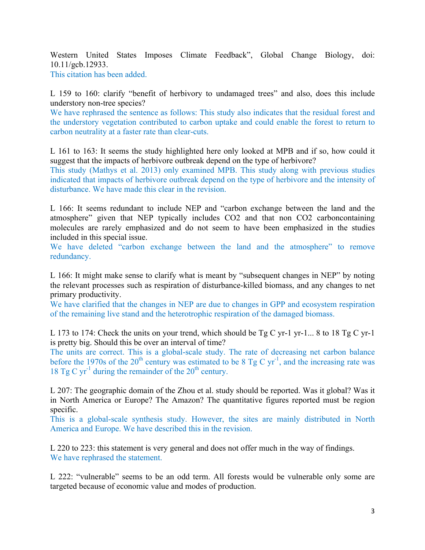Western United States Imposes Climate Feedback", Global Change Biology, doi: 10.11/gcb.12933.

This citation has been added.

L 159 to 160: clarify "benefit of herbivory to undamaged trees" and also, does this include understory non-tree species?

We have rephrased the sentence as follows: This study also indicates that the residual forest and the understory vegetation contributed to carbon uptake and could enable the forest to return to carbon neutrality at a faster rate than clear-cuts.

L 161 to 163: It seems the study highlighted here only looked at MPB and if so, how could it suggest that the impacts of herbivore outbreak depend on the type of herbivore?

This study (Mathys et al. 2013) only examined MPB. This study along with previous studies indicated that impacts of herbivore outbreak depend on the type of herbivore and the intensity of disturbance. We have made this clear in the revision.

L 166: It seems redundant to include NEP and "carbon exchange between the land and the atmosphere" given that NEP typically includes CO2 and that non CO2 carboncontaining molecules are rarely emphasized and do not seem to have been emphasized in the studies included in this special issue.

We have deleted "carbon exchange between the land and the atmosphere" to remove redundancy.

L 166: It might make sense to clarify what is meant by "subsequent changes in NEP" by noting the relevant processes such as respiration of disturbance-killed biomass, and any changes to net primary productivity.

We have clarified that the changes in NEP are due to changes in GPP and ecosystem respiration of the remaining live stand and the heterotrophic respiration of the damaged biomass.

L 173 to 174: Check the units on your trend, which should be Tg C yr-1 yr-1... 8 to 18 Tg C yr-1 is pretty big. Should this be over an interval of time?

The units are correct. This is a global-scale study. The rate of decreasing net carbon balance before the 1970s of the 20<sup>th</sup> century was estimated to be 8 Tg C yr<sup>-1</sup>, and the increasing rate was 18 Tg C yr<sup>-1</sup> during the remainder of the  $20<sup>th</sup>$  century.

L 207: The geographic domain of the Zhou et al. study should be reported. Was it global? Was it in North America or Europe? The Amazon? The quantitative figures reported must be region specific.

This is a global-scale synthesis study. However, the sites are mainly distributed in North America and Europe. We have described this in the revision.

L 220 to 223: this statement is very general and does not offer much in the way of findings. We have rephrased the statement.

L 222: "vulnerable" seems to be an odd term. All forests would be vulnerable only some are targeted because of economic value and modes of production.